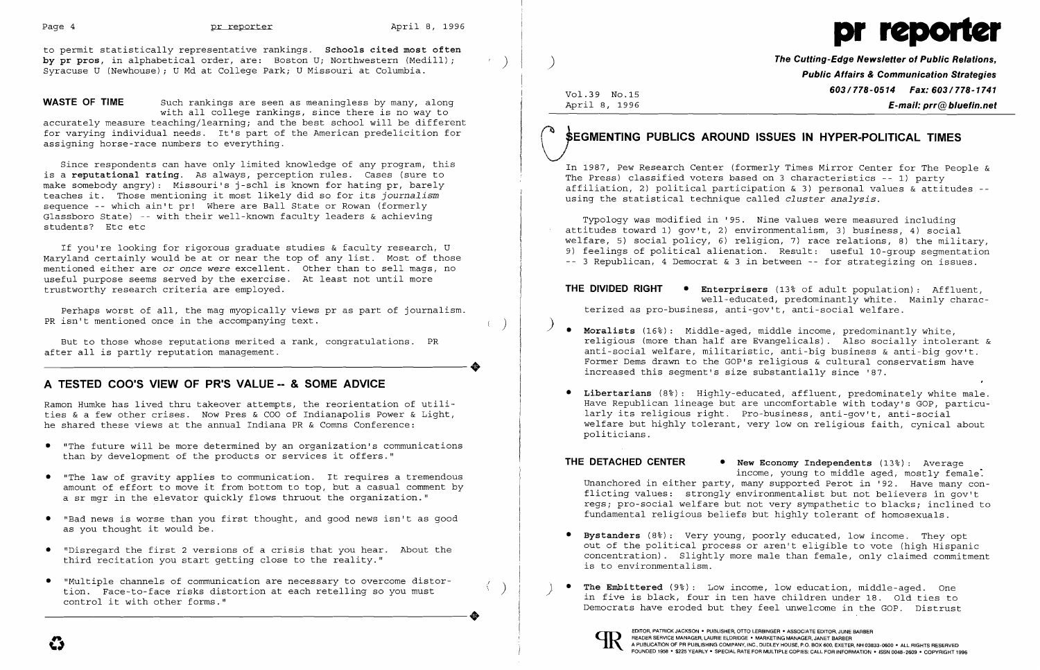

to permit statistically representative rankings. **Schools cited most often by pr pros**, in alphabetical order, are: Boston U; Northwestern (Medill);<br>Syracuse U (Newhouse); U Md at College Park; U Missouri at Columbia.

**WASTE OF TIME** Such rankings are seen as meaningless by many, along with all college rankings, since there is no way to accurately measure teaching/learning; and the best school will be different for varying individual needs. It's part of the American predelicition for assigning horse-race numbers to everything.

Perhaps worst of all, the mag myopically views pr as part of journalism. PR isn't mentioned once in the accompanying text. The same of the state of the state of the state of the state of the state of the state of the state of the state of the state of the state of the state of the state of the

Since respondents can have only limited knowledge of any program, this is a **reputational rating.** As always, perception rules. Cases (sure to make somebody angry): Missouri's i-schl is known for hating pr, barely teaches it. Those mentioning it most likely did so for its *journalism*  sequence -- which ain't pr! Where are Ball State or Rowan (formerly Glassboro State) -- with their well-known faculty leaders & achieving students? Etc etc

Ramon Humke has lived thru takeover attempts, the reorientation of utilities & a few other crises. Now Pres & COO of Indianapolis Power & Light, he shared these views at the annual Indiana PR & Comns Conference:

- • "The future will be more determined by an organization's communications than by development of the products or services it offers."
- • "The law of gravity applies to communication. It requires a tremendous amount of effort to move it from bottom to top, but a casual comment by a sr mgr in the elevator quickly flows thruout the organization."
- • "Bad news is worse than you first thought, and good news isn't as good as you thought it would be.
- • "Disregard the first 2 versions of a crisis that you hear. About the third recitation you start getting close to the reality." i,
- "Multiple channels of communication are necessary to overcome distor-<br>tion. Face-to-face risks distortion at each retelling so you must<br>control it with other forms." (and the some only in five is black, four in ten have tion. Face-to-face risks distortion at each retelling so you must

# **SEGMENTING PUBLICS AROUND ISSUES IN HYPER-POLITICAL TIMES**

If you're looking for rigorous graduate studies & faculty research, U Maryland certainly would be at or near the top of any list. Most of those mentioned either are or *once were* excellent. Other than to sell mags, no useful purpose seems served by the exercise. At least not until more trustworthy research criteria are employed.

In 1987, Pew Research Center (formerly Times Mirror Center for The People & The Press) classified voters based on 3 characteristics -- 1) party affiliation, 2) political participation & 3) personal values  $\&$  attitudes -using the statistical technique called *cluster analysis.* 

But to those whose reputations merited a rank, congratulations. PR ----------------------+ after all is partly reputation management.

# **A TESTED COO'S VIEW OF PR'S VALUE -- & SOME ADVICE**

- **Bystanders** (8%): Very young, poorly educated, low income. They opt is to environmentalism.
- 



**The Cutting-Edge Newsletter of Public Relations,** ) **Public Affairs & Communication Strategies 603/778-0514 Fax: 603/778-1741** Vol.39 No.15 April 8, 1996 **E-mail: prr@bluefin.net** 

Typology was modified in '95. Nine values were measured including attitudes toward 1) gov't, 2) environmentalism, 3) business, 4) social welfare, 5) social policy, 6) religion, 7) race relations, 8) the military, 9) feelings of political alienation. Result: useful 10-group segmentation -- 3 Republican, 4 Democrat & 3 in between -- for strategizing on issues.

**THE DIVIDED RIGHT • Enterprisers** (13% of adult population): Affluent, well-educated, predominantly white. Mainly characterized as pro-business, anti-gov't, anti-social welfare.

religious (more than half are Evangelicals). Also socially intolerant & anti-social welfare, militaristic, anti-big business & anti-big gov't. Former Dems drawn to the GOP's religious & cultural conservatism have

- ) **• Moralists** (16%): Middle-aged, middle income, predominantly white, increased this segment's size substantially since '87.
- **• Libertarians** (8%): Highly-educated, affluent, predominately white male. larly its religious right. Pro-business, anti-gov't, anti-social politicians.

Have Republican lineage but are uncomfortable with today's GOP, particuwelfare but highly tolerant, very low on religious faith, cynical about

**THE DETACHED CENTER • New Economy Independents** (13%): Average income, young to middle aged, mostly female. Unanchored in either party, many supported Perot in '92. Have many conflicting values: strongly environmentalist but not believers in gov't regs; pro-social welfare but not very sympathetic to blacks; inclined to fundamental religious beliefs but highly tolerant of homosexuals.

out of the political process or aren't eligible to vote (high Hispanic concentration). Slightly more male than female, only claimed commitment